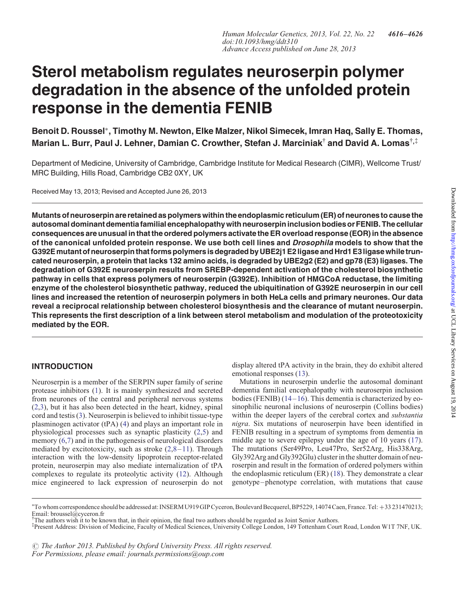# Sterol metabolism regulates neuroserpin polymer degradation in the absence of the unfolded protein response in the dementia FENIB

Benoit D. Roussel∗, Timothy M. Newton, Elke Malzer, Nikol Simecek, Imran Haq, Sally E. Thomas, Marian L. Burr, Paul J. Lehner, Damian C. Crowther, Stefan J. Marciniak<sup>†</sup> and David A. Lomas<sup>†,‡</sup>

Department of Medicine, University of Cambridge, Cambridge Institute for Medical Research (CIMR), Wellcome Trust/ MRC Building, Hills Road, Cambridge CB2 0XY, UK

Received May 13, 2013; Revised and Accepted June 26, 2013

Mutants of neuroserpin are retained as polymers within the endoplasmic reticulum (ER) of neurones to cause the autosomal dominant dementia familial encephalopathy with neuroserpin inclusion bodies or FENIB. The cellular consequences are unusual in that the ordered polymers activate the ER overload response (EOR) in the absence of the canonical unfolded protein response. We use both cell lines and *Drosophila* models to show that the G392Emutant of neuroserpin that forms polymersis degraded by UBE2j1 E2ligase and Hrd1 E3ligase while truncated neuroserpin, a protein that lacks 132 amino acids, is degraded by UBE2g2 (E2) and gp78 (E3) ligases. The degradation of G392E neuroserpin results from SREBP-dependent activation of the cholesterol biosynthetic pathway in cells that express polymers of neuroserpin (G392E). Inhibition of HMGCoA reductase, the limiting enzyme of the cholesterol biosynthetic pathway, reduced the ubiquitination of G392E neuroserpin in our cell lines and increased the retention of neuroserpin polymers in both HeLa cells and primary neurones. Our data reveal a reciprocal relationship between cholesterol biosynthesis and the clearance of mutant neuroserpin. This represents the first description of a link between sterol metabolism and modulation of the proteotoxicity mediated by the EOR.

# INTRODUCTION

Neuroserpin is a member of the SERPIN super family of serine protease inhibitors ([1\)](#page-9-0). It is mainly synthesized and secreted from neurones of the central and peripheral nervous systems [\(2](#page-9-0),[3\)](#page-9-0), but it has also been detected in the heart, kidney, spinal cord and testis ([3\)](#page-9-0). Neuroserpin is believed to inhibit tissue-type plasminogen activator (tPA) [\(4](#page-9-0)) and plays an important role in physiological processes such as synaptic plasticity ([2,5](#page-9-0)) and memory  $(6,7)$  and in the pathogenesis of neurological disorders mediated by excitotoxicity, such as stroke  $(2,8-11)$  $(2,8-11)$  $(2,8-11)$  $(2,8-11)$  $(2,8-11)$ . Through interaction with the low-density lipoprotein receptor-related protein, neuroserpin may also mediate internalization of tPA complexes to regulate its proteolytic activity [\(12](#page-9-0)). Although mice engineered to lack expression of neuroserpin do not

display altered tPA activity in the brain, they do exhibit altered emotional responses [\(13](#page-9-0)).

Mutations in neuroserpin underlie the autosomal dominant dementia familial encephalopathy with neuroserpin inclusion bodies (FENIB)  $(14-16)$  $(14-16)$  $(14-16)$  $(14-16)$ . This dementia is characterized by eosinophilic neuronal inclusions of neuroserpin (Collins bodies) within the deeper layers of the cerebral cortex and *substantia* nigra. Six mutations of neuroserpin have been identified in FENIB resulting in a spectrum of symptoms from dementia in middle age to severe epilepsy under the age of 10 years [\(17](#page-9-0)). The mutations (Ser49Pro, Leu47Pro, Ser52Arg, His338Arg, Gly392Arg and Gly392Glu) cluster in the shutter domain of neuroserpin and result in the formation of ordered polymers within the endoplasmic reticulum (ER) [\(18](#page-9-0)). They demonstrate a clear genotype–phenotype correlation, with mutations that cause

 $\odot$  The Author 2013. Published by Oxford University Press. All rights reserved. For Permissions, please email: journals.permissions@oup.com

<sup>∗</sup> To whom correspondence should be addressed at: INSERM U919 GIP Cyceron, Boulevard Becquerel, BP5229, 14074 Caen, France. Tel: +33 231470213; Email: broussel@cyceron.fr

<sup>†</sup> The authors wish it to be known that, in their opinion, the final two authors should be regarded as Joint Senior Authors.

<sup>‡</sup> Present Address: Division of Medicine, Faculty of Medical Sciences, University College London, 149 Tottenham Court Road, London W1T 7NF, UK.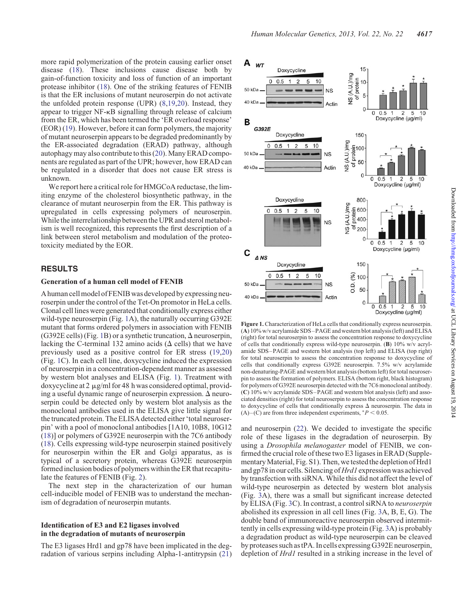more rapid polymerization of the protein causing earlier onset disease ([18\)](#page-9-0). These inclusions cause disease both by gain-of-function toxicity and loss of function of an important protease inhibitor ([18\)](#page-9-0). One of the striking features of FENIB is that the ER inclusions of mutant neuroserpin do not activate the unfolded protein response (UPR) ([8,19](#page-9-0),[20\)](#page-9-0). Instead, they appear to trigger NF-kB signalling through release of calcium from the ER, which has been termed the 'ER overload response' (EOR) ([19\)](#page-9-0). However, before it can form polymers, the majority of mutant neuroserpin appears to be degraded predominantly by the ER-associated degradation (ERAD) pathway, although autophagy may also contribute to this [\(20\)](#page-9-0). Many ERAD components are regulated as part of the UPR; however, how ERAD can be regulated in a disorder that does not cause ER stress is unknown.

We report here a critical role for HMGCoA reductase, the limiting enzyme of the cholesterol biosynthetic pathway, in the clearance of mutant neuroserpin from the ER. This pathway is upregulated in cells expressing polymers of neuroserpin. While the interrelationship between the UPR and sterol metabolism is well recognized, this represents the first description of a link between sterol metabolism and modulation of the proteotoxicity mediated by the EOR.

# RESULTS

#### Generation of a human cell model of FENIB

A human cell model of FENIB was developed by expressing neuroserpin under the control of the Tet-On promotor in HeLa cells. Clonal cell lines were generated that conditionally express either wild-type neuroserpin (Fig. 1A), the naturally occurring G392E mutant that forms ordered polymers in association with FENIB (G392E cells) (Fig. 1B) or a synthetic truncation,  $\Delta$  neuroserpin, lacking the C-terminal 132 amino acids  $(\Delta$  cells) that we have previously used as a positive control for ER stress [\(19](#page-9-0),[20\)](#page-9-0) (Fig. 1C). In each cell line, doxycycline induced the expression of neuroserpin in a concentration-dependent manner as assessed by western blot analyses and ELISA (Fig. 1). Treatment with doxycycline at  $2 \mu g/ml$  for 48 h was considered optimal, providing a useful dynamic range of neuroserpin expression.  $\Delta$  neuroserpin could be detected only by western blot analysis as the monoclonal antibodies used in the ELISA give little signal for the truncated protein. The ELISA detected either 'total neuroserpin' with a pool of monoclonal antibodies [1A10, 10B8, 10G12 [\(18](#page-9-0))] or polymers of G392E neuroserpin with the 7C6 antibody [\(18](#page-9-0)). Cells expressing wild-type neuroserpin stained positively for neuroserpin within the ER and Golgi apparatus, as is typical of a secretory protein, whereas G392E neuroserpin formed inclusion bodies of polymers within the ER that recapitulate the features of FENIB (Fig. [2\)](#page-2-0).

The next step in the characterization of our human cell-inducible model of FENIB was to understand the mechanism of degradation of neuroserpin mutants.

## Identification of E3 and E2 ligases involved in the degradation of mutants of neuroserpin

The E3 ligases Hrd1 and gp78 have been implicated in the degradation of various serpins including Alpha-1-antitrypsin ([21\)](#page-9-0)



Figure 1. Characterization of HeLa cells that conditionally express neuroserpin. (A) 10% w/v acrylamide SDS–PAGE and western blot analysis (left) and ELISA (right) for total neuroserpin to assess the concentration response to doxycycline of cells that conditionally express wild-type neuroserpin. (B) 10% w/v acrylamide SDS–PAGE and western blot analysis (top left) and ELISA (top right) for total neuroserpin to assess the concentration response to doxycycline of cells that conditionally express G392E neuroserpin. 7.5% w/v acrylamide non-denaturing-PAGE and western blot analysis (bottom left) for total neuroserpin to assess the formation of polymers. ELISA (bottom right, black histogram) for polymers of G392E neuroserpin detected with the 7C6 monoclonal antibody. (C) 10% w/v acrylamide SDS–PAGE and western blot analysis (left) and associated densities (right) for total neuroserpin to assess the concentration response to doxycycline of cells that conditionally express  $\Delta$  neuroserpin. The data in (A)–(C) are from three independent experiments,  $*P < 0.05$ .

and neuroserpin [\(22](#page-9-0)). We decided to investigate the specific role of these ligases in the degradation of neuroserpin. By using a Drosophila melanogaster model of FENIB, we confirmed the crucial role of these two E3 ligases in ERAD ([Supple](http://hmg.oxfordjournals.org/lookup/suppl/doi:10.1093/hmg/ddt310/-/DC1)[mentary Material, Fig. S1\)](http://hmg.oxfordjournals.org/lookup/suppl/doi:10.1093/hmg/ddt310/-/DC1). Then, we tested the depletion of Hrd1 and gp78 in our cells. Silencing of Hrd1 expression was achieved by transfection with siRNA. While this did not affect the level of wild-type neuroserpin as detected by western blot analysis (Fig. [3A](#page-2-0)), there was a small but significant increase detected by ELISA (Fig. [3C](#page-2-0)). In contrast, a control siRNA to neuroserpin abolished its expression in all cell lines (Fig. [3](#page-2-0)A, B, E, G). The double band of immunoreactive neuroserpin observed intermittently in cells expressing wild-type protein (Fig. [3A](#page-2-0)) is probably a degradation product as wild-type neuroserpin can be cleaved by proteases such as tPA. In cells expressing G392E neuroserpin, depletion of *Hrd1* resulted in a striking increase in the level of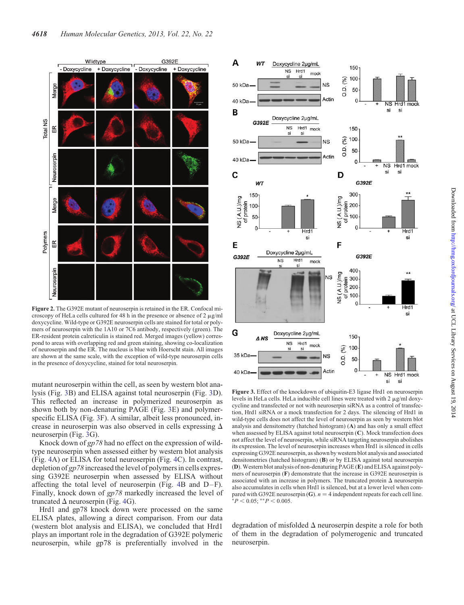<span id="page-2-0"></span>

Figure 2. The G392E mutant of neuroserpin is retained in the ER. Confocal microscopy of HeLa cells cultured for 48 h in the presence or absence of 2  $\mu$ g/ml doxycycline. Wild-type or G392E neuroserpin cells are stained for total or polymers of neuroserpin with the 1A10 or 7C6 antibody, respectively (green). The ER-resident protein calreticulin is stained red. Merged images (yellow) correspond to areas with overlapping red and green staining, showing co-localization of neuroserpin and the ER. The nucleus is blue with Hoerscht stain. All images are shown at the same scale, with the exception of wild-type neuroserpin cells in the presence of doxycycline, stained for total neuroserpin.

mutant neuroserpin within the cell, as seen by western blot analysis (Fig. 3B) and ELISA against total neuroserpin (Fig. 3D). This reflected an increase in polymerized neuroserpin as shown both by non-denaturing PAGE (Fig. 3E) and polymerspecific ELISA (Fig. 3F). A similar, albeit less pronounced, increase in neuroserpin was also observed in cells expressing  $\Delta$ neuroserpin (Fig. 3G).

Knock down of gp78 had no effect on the expression of wildtype neuroserpin when assessed either by western blot analysis (Fig. [4A](#page-3-0)) or ELISA for total neuroserpin (Fig. [4C](#page-3-0)). In contrast, depletion of gp78 increased the level of polymers in cells expressing G392E neuroserpin when assessed by ELISA without affecting the total level of neuroserpin (Fig. [4](#page-3-0)B and D–F). Finally, knock down of gp78 markedly increased the level of truncated  $\Delta$  neuroserpin (Fig. [4G](#page-3-0)).

Hrd1 and gp78 knock down were processed on the same ELISA plates, allowing a direct comparison. From our data (western blot analysis and ELISA), we concluded that Hrd1 plays an important role in the degradation of G392E polymeric neuroserpin, while gp78 is preferentially involved in the



Figure 3. Effect of the knockdown of ubiquitin-E3 ligase Hrd1 on neuroserpin levels in HeLa cells. HeLa inducible cell lines were treated with  $2 \mu g/ml$  doxycycline and transfected or not with neuroserpin siRNA as a control of transfection, Hrd1 siRNA or a mock transfection for 2 days. The silencing of Hrd1 in wild-type cells does not affect the level of neuroserpin as seen by western blot analysis and densitometry (hatched histogram) (A) and has only a small effect when assessed by ELISA against total neuroserpin (C). Mock transfection does not affect the level of neuroserpin, while siRNA targeting neuroserpin abolishes its expression. The level of neuroserpin increases when Hrd1 is silenced in cells expressing G392E neuroserpin, as shown by western blot analysis and associated densitometries (hatched histogram) (B) or by ELISA against total neuroserpin (D). Western blot analysis of non-denaturing PAGE (E) and ELISA against polymers of neuroserpin (F) demonstrate that the increase in G392E neuroserpin is associated with an increase in polymers. The truncated protein  $\Delta$  neuroserpin also accumulates in cells when Hrd1 is silenced, but at a lower level when compared with G392E neuroserpin (G).  $n = 4$  independent repeats for each cell line.  $*P < 0.05; **P < 0.005.$ 

degradation of misfolded  $\Delta$  neuroserpin despite a role for both of them in the degradation of polymerogenic and truncated neuroserpin.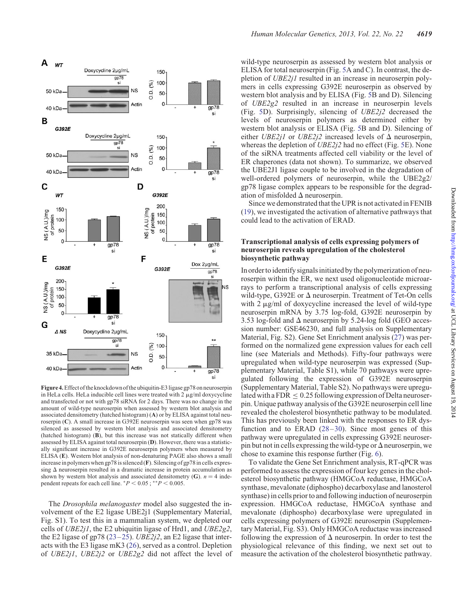<span id="page-3-0"></span>

Figure 4.Effectof the knockdown of the ubiquitin-E3 ligase gp78 on neuroserpin in HeLa cells. HeLa inducible cell lines were treated with  $2 \mu g/ml$  doxycycline and transfected or not with gp78 siRNA for 2 days. There was no change in the amount of wild-type neuroserpin when assessed by western blot analysis and associated densitometry (hatched histogram) (A) or by ELISA against total neuroserpin (C). A small increase in G392E neuroserpin was seen when gp78 was silenced as assessed by western blot analysis and associated densitometry (hatched histogram) (B), but this increase was not statically different when assessed by ELISA against total neuroserpin (D). However, there was a statistically significant increase in G392E neuroserpin polymers when measured by ELISA (E). Western blot analysis of non-denaturing PAGE also shows a small increase in polymers when gp78 is silenced (F). Silencing of gp78 in cells expressing  $\Delta$  neuroserpin resulted in a dramatic increase in protein accumulation as shown by western blot analysis and associated densitometry (G).  $n = 4$  independent repeats for each cell line.  $*P < 0.05$ ;  $**P < 0.005$ .

The *Drosophila melanogaster* model also suggested the involvement of the E2 ligase UBE2j1 ([Supplementary Material,](http://hmg.oxfordjournals.org/lookup/suppl/doi:10.1093/hmg/ddt310/-/DC1) [Fig. S1](http://hmg.oxfordjournals.org/lookup/suppl/doi:10.1093/hmg/ddt310/-/DC1)). To test this in a mammalian system, we depleted our cells of UBE2j1, the E2 ubiquitin ligase of Hrd1, and UBE2g2, the E2 ligase of gp78 ([23](#page-9-0)–[25\)](#page-9-0). UBE2j2, an E2 ligase that interacts with the E3 ligase mK3 [\(26](#page-9-0)), served as a control. Depletion of UBE2j1, UBE2j2 or UBE2g2 did not affect the level of

wild-type neuroserpin as assessed by western blot analysis or ELISA for total neuroserpin (Fig. [5A](#page-4-0) and C). In contrast, the depletion of UBE2j1 resulted in an increase in neuroserpin polymers in cells expressing G392E neuroserpin as observed by western blot analysis and by ELISA (Fig. [5B](#page-4-0) and D). Silencing of UBE2g2 resulted in an increase in neuroserpin levels (Fig. [5](#page-4-0)D). Surprisingly, silencing of UBE2j2 decreased the levels of neuroserpin polymers as determined either by western blot analysis or ELISA (Fig. [5B](#page-4-0) and D). Silencing of either UBE2j1 or UBE2j2 increased levels of  $\Delta$  neuroserpin, whereas the depletion of UBE2*j*2 had no effect (Fig. [5E](#page-4-0)). None of the siRNA treatments affected cell viability or the level of ER chaperones (data not shown). To summarize, we observed the UBE2J1 ligase couple to be involved in the degradation of well-ordered polymers of neuroserpin, while the UBE2g2/ gp78 ligase complex appears to be responsible for the degradation of misfolded  $\Delta$  neuroserpin.

Since we demonstrated that the UPR is not activated in FENIB [\(19](#page-9-0)), we investigated the activation of alternative pathways that could lead to the activation of ERAD.

## Transcriptional analysis of cells expressing polymers of neuroserpin reveals upregulation of the cholesterol biosynthetic pathway

In order to identify signals initiated by the polymerization of neuroserpin within the ER, we next used oligonucleotide microarrays to perform a transcriptional analysis of cells expressing wild-type, G392E or  $\Delta$  neuroserpin. Treatment of Tet-On cells with 2  $\mu$ g/ml of doxycycline increased the level of wild-type neuroserpin mRNA by 3.75 log-fold, G392E neuroserpin by 3.53 log-fold and  $\Delta$  neuroserpin by 5.24-log fold (GEO accession number: GSE46230, and full analysis on [Supplementary](http://hmg.oxfordjournals.org/lookup/suppl/doi:10.1093/hmg/ddt310/-/DC1) [Material, Fig. S2\)](http://hmg.oxfordjournals.org/lookup/suppl/doi:10.1093/hmg/ddt310/-/DC1). Gene Set Enrichment analysis [\(27](#page-9-0)) was performed on the normalized gene expression values for each cell line (see Materials and Methods). Fifty-four pathways were upregulated when wild-type neuroserpin was expressed [\(Sup](http://hmg.oxfordjournals.org/lookup/suppl/doi:10.1093/hmg/ddt310/-/DC1)[plementary Material, Table S1\)](http://hmg.oxfordjournals.org/lookup/suppl/doi:10.1093/hmg/ddt310/-/DC1), while 70 pathways were upregulated following the expression of G392E neuroserpin [\(Supplementary Material, Table S2\)](http://hmg.oxfordjournals.org/lookup/suppl/doi:10.1093/hmg/ddt310/-/DC1). No pathways were upregulated with a FDR  $\leq 0.25$  following expression of Delta neuroserpin. Unique pathway analysis of the G392E neuroserpin cell line revealed the cholesterol biosynthetic pathway to be modulated. This has previously been linked with the responses to ER dysfunction and to ERAD  $(28-30)$  $(28-30)$  $(28-30)$ . Since most genes of this pathway were upregulated in cells expressing G392E neuroserpin but not in cells expressing the wild-type or  $\Delta$  neuroserpin, we chose to examine this response further (Fig. [6\)](#page-4-0).

To validate the Gene Set Enrichment analysis, RT-qPCR was performed to assess the expression of four key genes in the cholesterol biosynthetic pathway (HMGCoA reductase, HMGCoA synthase, mevalonate (diphospho) decarboxylase and lanosterol synthase) in cells prior to and following induction of neuroserpin expression. HMGCoA reductase, HMGCoA synthase and mevalonate (diphospho) decarboxylase were upregulated in cells expressing polymers of G392E neuroserpin ([Supplemen](http://hmg.oxfordjournals.org/lookup/suppl/doi:10.1093/hmg/ddt310/-/DC1)[tary Material, Fig. S3\)](http://hmg.oxfordjournals.org/lookup/suppl/doi:10.1093/hmg/ddt310/-/DC1). Only HMGCoA reductase was increased following the expression of  $\Delta$  neuroserpin. In order to test the physiological relevance of this finding, we next set out to measure the activation of the cholesterol biosynthetic pathway.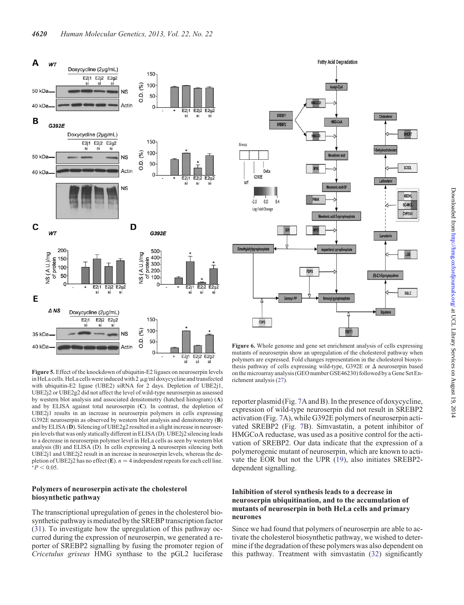<span id="page-4-0"></span>

Figure 5. Effect of the knockdown of ubiquitin-E2 ligases on neuroserpin levels in HeLa cells. HeLa cells were induced with  $2 \mu g/ml$  doxycycline and transfected with ubiquitin-E2 ligase (UBE2) siRNA for 2 days. Depletion of UBE2j1, UBE2j2 or UBE2g2 did not affect the level of wild-type neuroserpin as assessed by western blot analysis and associated densitometry (hatched histogram) (A) and by ELISA against total neuroserpin  $(C)$ . In contrast, the depletion of UBE2j1 results in an increase in neuroserpin polymers in cells expressing G392E neuroserpin as observed by western blot analysis and densitometry (B) and by ELISA (D). Silencing of UBE2g2 resulted in a slight increase in neuroserpin levels that was only statically different in ELISA (D). UBE2j2 silencing leads to a decrease in neuroserpin polymer level in HeLa cells as seen by western blot analysis (B) and ELISA (D). In cells expressing  $\Delta$  neuroserpin silencing both UBE2j1 and UBE2j2 result in an increase in neuroserpin levels, whereas the depletion of UBE2j2 has no effect (E).  $n = 4$  independent repeats for each cell line. ∗ $P < 0.05$ .

## Polymers of neuroserpin activate the cholesterol biosynthetic pathway

The transcriptional upregulation of genes in the cholesterol biosynthetic pathway is mediated by the SREBP transcription factor [\(31](#page-10-0)). To investigate how the upregulation of this pathway occurred during the expression of neuroserpin, we generated a reporter of SREBP2 signalling by fusing the promoter region of Cricetulus griseus HMG synthase to the pGL2 luciferase



Figure 6. Whole genome and gene set enrichment analysis of cells expressing mutants of neuroserpin show an upregulation of the cholesterol pathway when polymers are expressed. Fold changes representation in the cholesterol biosynthesis pathway of cells expressing wild-type, G392E or  $\Delta$  neuroserpin based on the microarray analysis (GEO number GSE46230) followed by a Gene Set Enrichment analysis ([27\)](#page-9-0).

reporter plasmid (Fig. [7](#page-5-0)A and B). In the presence of doxycycline, expression of wild-type neuroserpin did not result in SREBP2 activation (Fig. [7](#page-5-0)A), while G392E polymers of neuroserpin activated SREBP2 (Fig. [7B](#page-5-0)). Simvastatin, a potent inhibitor of HMGCoA reductase, was used as a positive control for the activation of SREBP2. Our data indicate that the expression of a polymerogenic mutant of neuroserpin, which are known to activate the EOR but not the UPR [\(19](#page-9-0)), also initiates SREBP2 dependent signalling.

## Inhibition of sterol synthesis leads to a decrease in neuroserpin ubiquitination, and to the accumulation of mutants of neuroserpin in both HeLa cells and primary neurones

Since we had found that polymers of neuroserpin are able to activate the cholesterol biosynthetic pathway, we wished to determine if the degradation of these polymers was also dependent on this pathway. Treatment with simvastatin [\(32](#page-10-0)) significantly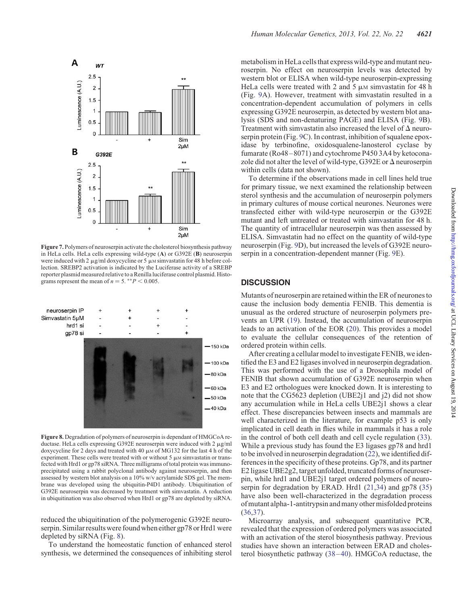<span id="page-5-0"></span>

Figure 7. Polymers of neuroserpin activate the cholesterol biosynthesis pathway in HeLa cells. HeLa cells expressing wild-type (A) or G392E (B) neuroserpin were induced with 2  $\mu$ g/ml doxycycline or 5  $\mu$ M simvastatin for 48 h before collection. SREBP2 activation is indicated by the Luciferase activity of a SREBP reporter plasmid measured relative to a Renilla luciferase control plasmid. Histograms represent the mean of  $n = 5$ . \*\* $P < 0.005$ .



Figure 8. Degradation of polymers of neuroserpin is dependant of HMGCoA reductase. HeLa cells expressing G392E neuroserpin were induced with  $2 \mu g/ml$ doxycycline for 2 days and treated with 40  $\mu$ M of MG132 for the last 4 h of the experiment. These cells were treated with or without  $5 \mu$ M simvastatin or transfected with Hrd1 or gp78 siRNA. Three milligrams of total protein was immunoprecipitated using a rabbit polyclonal antibody against neuroserpin, and then assessed by western blot analysis on a 10% w/v acrylamide SDS gel. The membrane was developed using the ubiquitin-P4D1 antibody. Ubiquitination of G392E neuroserpin was decreased by treatment with simvastatin. A reduction in ubiquitination was also observed when Hrd1 or gp78 are depleted by siRNA.

reduced the ubiquitination of the polymerogenic G392E neuroserpin. Similar results were found when either gp78 or Hrd1 were depleted by siRNA (Fig. 8).

To understand the homeostatic function of enhanced sterol synthesis, we determined the consequences of inhibiting sterol metabolism in HeLa cells that express wild-type and mutant neuroserpin. No effect on neuroserpin levels was detected by western blot or ELISA when wild-type neuroserpin-expressing HeLa cells were treated with 2 and 5  $\mu$ M simvastatin for 48 h (Fig. [9A](#page-6-0)). However, treatment with simvastatin resulted in a concentration-dependent accumulation of polymers in cells expressing G392E neuroserpin, as detected by western blot analysis (SDS and non-denaturing PAGE) and ELISA (Fig. [9](#page-6-0)B). Treatment with simvastatin also increased the level of  $\Delta$  neuroserpin protein (Fig. [9C](#page-6-0)). In contrast, inhibition of squalene epoxidase by terbinofine, oxidosqualene-lanosterol cyclase by fumarate (Ro48–8071) and cytochrome P450 3A4 by ketoconazole did not alter the level of wild-type, G392E or  $\Delta$  neuroserpin within cells (data not shown).

To determine if the observations made in cell lines held true for primary tissue, we next examined the relationship between sterol synthesis and the accumulation of neuroserpin polymers in primary cultures of mouse cortical neurones. Neurones were transfected either with wild-type neuroserpin or the G392E mutant and left untreated or treated with simvastatin for 48 h. The quantity of intracellular neuroserpin was then assessed by ELISA. Simvastatin had no effect on the quantity of wild-type neuroserpin (Fig. [9D](#page-6-0)), but increased the levels of G392E neuroserpin in a concentration-dependent manner (Fig. [9](#page-6-0)E).

## **DISCUSSION**

Mutants of neuroserpin are retained within the ER of neurones to cause the inclusion body dementia FENIB. This dementia is unusual as the ordered structure of neuroserpin polymers prevents an UPR [\(19](#page-9-0)). Instead, the accumulation of neuroserpin leads to an activation of the EOR [\(20](#page-9-0)). This provides a model to evaluate the cellular consequences of the retention of ordered protein within cells.

After creating a cellular model to investigate FENIB, we identified the E3 and E2 ligases involved in neuroserpin degradation. This was performed with the use of a Drosophila model of FENIB that shown accumulation of G392E neuroserpin when E3 and E2 orthologues were knocked down. It is interesting to note that the CG5623 depletion (UBE2j1 and j2) did not show any accumulation while in HeLa cells UBE2j1 shows a clear effect. These discrepancies between insects and mammals are well characterized in the literature, for example p53 is only implicated in cell death in flies while in mammals it has a role in the control of both cell death and cell cycle regulation [\(33](#page-10-0)). While a previous study has found the E3 ligases gp78 and hrd1 to be involved in neuroserpin degradation [\(22](#page-9-0)), we identified differences in the specificity of these proteins. Gp78, and its partner E2 ligase UBE2g2, target unfolded, truncated forms of neuroserpin, while hrd1 and UBE2j1 target ordered polymers of neuroserpin for degradation by ERAD. Hrd1 ([21,](#page-9-0)[34](#page-10-0)) and gp78 ([35\)](#page-10-0) have also been well-characterized in the degradation process of mutant alpha-1-antitrypsin and many other misfolded proteins [\(36](#page-10-0),[37\)](#page-10-0).

Microarray analysis, and subsequent quantitative PCR, revealed that the expression of ordered polymers was associated with an activation of the sterol biosynthesis pathway. Previous studies have shown an interaction between ERAD and cholesterol biosynthetic pathway ([38](#page-10-0)–[40\)](#page-10-0). HMGCoA reductase, the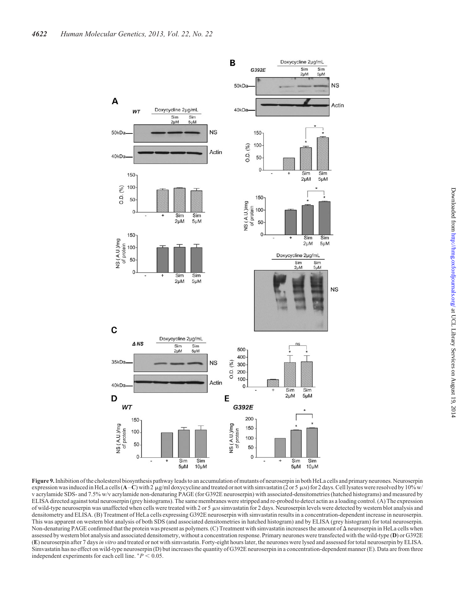<span id="page-6-0"></span>

Figure 9.Inhibition of the cholesterol biosynthesis pathway leads to an accumulation of mutants of neuroserpin in both HeLa cells and primary neurones. Neuroserpin expression was induced in HeLa cells ( $A-C$ ) with 2 µg/ml doxycycline and treated or not with simvastatin (2 or 5 µM) for 2 days. Cell lysates were resolved by 10% w/ v acrylamide SDS- and 7.5% w/v acrylamide non-denaturing PAGE (for G392E neuroserpin) with associated-densitometries (hatched histograms) and measured by ELISA directed against total neuroserpin (grey histograms). The same membranes were stripped and re-probed to detect actin as a loading control. (A) The expression of wild-type neuroserpin was unaffected when cells were treated with 2 or 5  $\mu$ M simvastatin for 2 days. Neuroserpin levels were detected by western blot analysis and densitometry and ELISA. (B) Treatment of HeLa cells expressing G392E neuroserpin with simvastatin results in a concentration-dependent increase in neuroserpin. This was apparent on western blot analysis of both SDS (and associated densitometries in hatched histogram) and by ELISA (grey histogram) for total neuroserpin. Non-denaturing PAGE confirmed that the protein was present as polymers. (C) Treatment with simvastatin increases the amount of  $\Delta$  neuroserpin in HeLa cells when assessed by western blot analysis and associated densitometry, without a concentration response. Primary neurones were transfected with the wild-type (D) or G392E (E) neuroserpin after 7 daysin vitro and treated or not with simvastatin. Forty-eight hours later, the neurones were lysed and assessed for total neuroserpin by ELISA. Simvastatin has no effect on wild-type neuroserpin (D) but increases the quantity of G392E neuroserpin in a concentration-dependent manner (E). Data are from three independent experiments for each cell line.  $*P < 0.05$ .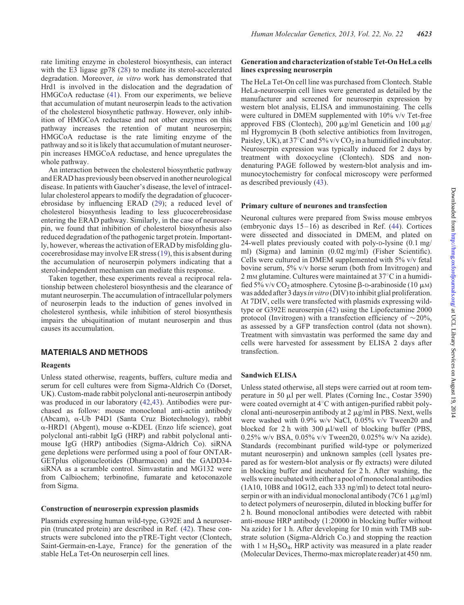rate limiting enzyme in cholesterol biosynthesis, can interact with the E3 ligase gp78 ([28\)](#page-9-0) to mediate its sterol-accelerated degradation. Moreover, in vitro work has demonstrated that Hrd1 is involved in the dislocation and the degradation of HMGCoA reductase ([41\)](#page-10-0). From our experiments, we believe that accumulation of mutant neuroserpin leads to the activation of the cholesterol biosynthetic pathway. However, only inhibition of HMGCoA reductase and not other enzymes on this pathway increases the retention of mutant neuroserpin; HMGCoA reductase is the rate limiting enzyme of the pathway and so it is likely that accumulation of mutant neuroserpin increases HMGCoA reductase, and hence upregulates the whole pathway.

An interaction between the cholesterol biosynthetic pathway and ERAD has previously been observed in another neurological disease. In patients with Gaucher's disease, the level of intracellular cholesterol appears to modify the degradation of glucocerebrosidase by influencing ERAD ([29\)](#page-10-0); a reduced level of cholesterol biosynthesis leading to less glucocerebrosidase entering the ERAD pathway. Similarly, in the case of neuroserpin, we found that inhibition of cholesterol biosynthesis also reduced degradation of the pathogenic target protein. Importantly, however, whereas the activation of ERAD by misfolding glucocerebrosidase may involve ER stress [\(19](#page-9-0)), this is absent during the accumulation of neuroserpin polymers indicating that a sterol-independent mechanism can mediate this response.

Taken together, these experiments reveal a reciprocal relationship between cholesterol biosynthesis and the clearance of mutant neuroserpin. The accumulation of intracellular polymers of neuroserpin leads to the induction of genes involved in cholesterol synthesis, while inhibition of sterol biosynthesis impairs the ubiquitination of mutant neuroserpin and thus causes its accumulation.

# MATERIALS AND METHODS

#### Reagents

Unless stated otherwise, reagents, buffers, culture media and serum for cell cultures were from Sigma-Aldrich Co (Dorset, UK). Custom-made rabbit polyclonal anti-neuroserpin antibody was produced in our laboratory [\(42](#page-10-0),[43\)](#page-10-0). Antibodies were purchased as follow: mouse monoclonal anti-actin antibody (Abcam), a-Ub P4D1 (Santa Cruz Biotechnology), rabbit  $\alpha$ -HRD1 (Abgent), mouse  $\alpha$ -KDEL (Enzo life science), goat polyclonal anti-rabbit IgG (HRP) and rabbit polyclonal antimouse IgG (HRP) antibodies (Sigma-Aldrich Co). siRNA gene depletions were performed using a pool of four ONTAR-GETplus oligonucleotides (Dharmacon) and the GADD34 siRNA as a scramble control. Simvastatin and MG132 were from Calbiochem; terbinofine, fumarate and ketoconazole from Sigma.

#### Construction of neuroserpin expression plasmids

Plasmids expressing human wild-type, G392E and  $\Delta$  neuroserpin (truncated protein) are described in Ref. ([42\)](#page-10-0). These constructs were subcloned into the pTRE-Tight vector (Clontech, Saint-Germain-en-Laye, France) for the generation of the stable HeLa Tet-On neuroserpin cell lines.

## Generation and characterization of stable Tet-On HeLa cells lines expressing neuroserpin

The HeLa Tet-On cell line was purchased from Clontech. Stable HeLa-neuroserpin cell lines were generated as detailed by the manufacturer and screened for neuroserpin expression by western blot analysis, ELISA and immunostaining. The cells were cultured in DMEM supplemented with 10% v/v Tet-free approved FBS (Clontech), 200  $\mu$ g/ml Geneticin and 100  $\mu$ g/ ml Hygromycin B (both selective antibiotics from Invitrogen, Paisley, UK), at  $37^{\circ}$ C and  $5\%$  v/v CO<sub>2</sub> in a humidified incubator. Neuroserpin expression was typically induced for 2 days by treatment with doxocycline (Clontech). SDS and nondenaturing PAGE followed by western-blot analysis and immunocytochemistry for confocal microscopy were performed as described previously [\(43](#page-10-0)).

#### Primary culture of neurones and transfection

Neuronal cultures were prepared from Swiss mouse embryos (embryonic days  $15-16$ ) as described in Ref. ([44\)](#page-10-0). Cortices were dissected and dissociated in DMEM, and plated on 24-well plates previously coated with poly-D-lysine (0.1 mg/ ml) (Sigma) and laminin (0.02 mg/ml) (Fisher Scientific). Cells were cultured in DMEM supplemented with 5% v/v fetal bovine serum, 5% v/v horse serum (both from Invitrogen) and 2 mm glutamine. Cultures were maintained at  $37^{\circ}$ C in a humidified 5% v/v CO<sub>2</sub> atmosphere. Cytosine  $\beta$ -D-arabinoside (10  $\mu$ M) was added after 3 days in vitro (DIV) to inhibit glial proliferation. At 7DIV, cells were transfected with plasmids expressing wildtype or G392E neuroserpin [\(42](#page-10-0)) using the Lipofectamine 2000 protocol (Invitrogen) with a transfection efficiency of  $\sim$ 20%, as assessed by a GFP transfection control (data not shown). Treatment with simvastatin was performed the same day and cells were harvested for assessment by ELISA 2 days after transfection.

#### Sandwich ELISA

Unless stated otherwise, all steps were carried out at room temperature in 50 µl per well. Plates (Corning Inc., Costar 3590) were coated overnight at 4°C with antigen-purified rabbit polyclonal anti-neuroserpin antibody at  $2 \mu g/ml$  in PBS. Next, wells were washed with 0.9% w/v NaCl, 0.05% v/v Tween20 and blocked for 2 h with 300  $\mu$ l/well of blocking buffer (PBS, 0.25% w/v BSA, 0.05% v/v Tween20, 0.025% w/v Na azide). Standards (recombinant purified wild-type or polymerized mutant neuroserpin) and unknown samples (cell lysates prepared as for western-blot analysis or fly extracts) were diluted in blocking buffer and incubated for 2 h. After washing, the wells were incubated with either a pool of monoclonal antibodies (1A10, 10B8 and 10G12, each 333 ng/ml) to detect total neuroserpin or with an individual monoclonal antibody (7C6 1  $\mu$ g/ml) to detect polymers of neuroserpin, diluted in blocking buffer for 2 h. Bound monoclonal antibodies were detected with rabbit anti-mouse HRP antibody (1:20000 in blocking buffer without Na azide) for 1 h. After developing for 10 min with TMB substrate solution (Sigma-Aldrich Co.) and stopping the reaction with 1  $\text{M H}_2\text{SO}_4$ , HRP activity was measured in a plate reader (Molecular Devices, Thermo-max microplate reader) at 450 nm.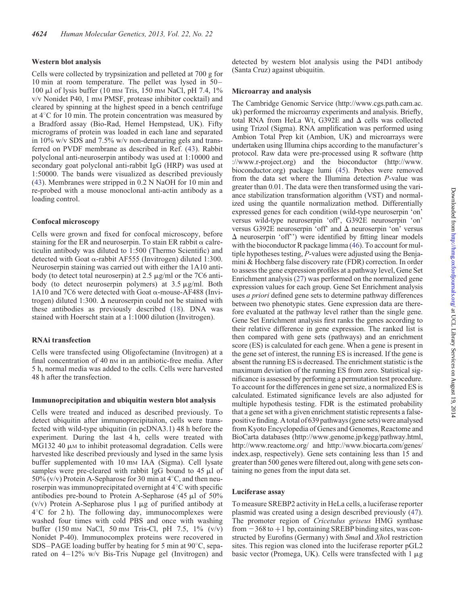## Western blot analysis

Cells were collected by trypsinization and pelleted at 700 g for 10 min at room temperature. The pellet was lysed in 50– 100  $\mu$ l of lysis buffer (10 mm Tris, 150 mm NaCl, pH 7.4, 1%) v/v Nonidet P40, 1 mM PMSF, protease inhibitor cocktail) and cleared by spinning at the highest speed in a bench centrifuge at  $4^{\circ}$ C for 10 min. The protein concentration was measured by a Bradford assay (Bio-Rad, Hemel Hempstead, UK). Fifty micrograms of protein was loaded in each lane and separated in 10% w/v SDS and 7.5% w/v non-denaturing gels and transferred on PVDF membrane as described in Ref. ([43\)](#page-10-0). Rabbit polyclonal anti-neuroserpin antibody was used at 1:10000 and secondary goat polyclonal anti-rabbit IgG (HRP) was used at 1:50000. The bands were visualized as described previously [\(43](#page-10-0)). Membranes were stripped in 0.2 N NaOH for 10 min and re-probed with a mouse monoclonal anti-actin antibody as a loading control.

## Confocal microscopy

Cells were grown and fixed for confocal microscopy, before staining for the ER and neuroserpin. To stain ER rabbit  $\alpha$  calreticulin antibody was diluted to 1:500 (Thermo Scientific) and detected with Goat  $\alpha$ -rabbit AF555 (Invitrogen) diluted 1:300. Neuroserpin staining was carried out with either the 1A10 antibody (to detect total neuroserpin) at 2.5  $\mu$ g/ml or the 7C6 antibody (to detect neuroserpin polymers) at  $3.5 \mu$ g/ml. Both 1A10 and 7C6 were detected with Goat  $\alpha$ -mouse-AF488 (Invitrogen) diluted 1:300.  $\Delta$  neuroserpin could not be stained with these antibodies as previously described [\(18](#page-9-0)). DNA was stained with Hoerscht stain at a 1:1000 dilution (Invitrogen).

#### RNAi transfection

Cells were transfected using Oligofectamine (Invitrogen) at a final concentration of 40 nm in an antibiotic-free media. After 5 h, normal media was added to the cells. Cells were harvested 48 h after the transfection.

## Immunoprecipitation and ubiquitin western blot analysis

Cells were treated and induced as described previously. To detect ubiquitin after immunoprecipitaiton, cells were transfected with wild-type ubiquitin (in pcDNA3.1) 48 h before the experiment. During the last 4 h, cells were treated with  $MG132$  40  $\mu$ M to inhibit proteasomal degradation. Cells were harvested like described previously and lysed in the same lysis buffer supplemented with 10 mm IAA (Sigma). Cell lysate samples were pre-cleared with rabbit IgG bound to  $45 \mu l$  of 50% (v/v) Protein A-Sepharose for 30 min at  $4^{\circ}$ C, and then neuroserpin was immunoprecipitated overnight at  $4^{\circ}$ C with specific antibodies pre-bound to Protein A-Sepharose  $(45 \mu)$  of  $50\%$  $(v/v)$  Protein A-Sepharose plus 1  $\mu$ g of purified antibody at  $4^{\circ}$ C for 2 h). The following day, immunocomplexes were washed four times with cold PBS and once with washing buffer (150 mM NaCl, 50 mM Tris-Cl, pH 7.5, 1% (v/v) Nonidet P-40). Immunocomplex proteins were recovered in SDS–PAGE loading buffer by heating for 5 min at  $90^{\circ}$ C, separated on 4–12% w/v Bis-Tris Nupage gel (Invitrogen) and

detected by western blot analysis using the P4D1 antibody (Santa Cruz) against ubiquitin.

## Microarray and analysis

The Cambridge Genomic Service (http://www.cgs.path.cam.ac. uk) performed the microarray experiments and analysis. Briefly, total RNA from HeLa Wt, G392E and  $\Delta$  cells was collected using Trizol (Sigma). RNA amplification was performed using Ambion Total Prep kit (Ambion, UK) and microarrays were undertaken using Illumina chips according to the manufacturer's protocol. Raw data were pre-processed using R software (http ://www.r-project.org) and the bioconductor (http://www. bioconductor.org) package lumi [\(45\)](#page-10-0). Probes were removed from the data set where the Illumina detection P-value was greater than 0.01. The data were then transformed using the variance stabilization transformation algorithm (VST) and normalized using the quantile normalization method. Differentially expressed genes for each condition (wild-type neuroserpin 'on' versus wild-type neuroserpin 'off', G392E neuroserpin 'on' versus G392E neuroserpin 'off' and  $\Delta$  neuroserpin 'on' versus  $\Delta$  neuroserpin 'off'') were identified by fitting linear models with the bioconductor R package limma [\(46](#page-10-0)). To account for multiple hypotheses testing, P-values were adjusted using the Benjamini & Hochberg false discovery rate (FDR) correction. In order to assess the gene expression profiles at a pathway level, Gene Set Enrichment analysis [\(27\)](#page-9-0) was performed on the normalized gene expression values for each group. Gene Set Enrichment analysis uses a priori defined gene sets to determine pathway differences between two phenotypic states. Gene expression data are therefore evaluated at the pathway level rather than the single gene. Gene Set Enrichment analysis first ranks the genes according to their relative difference in gene expression. The ranked list is then compared with gene sets (pathways) and an enrichment score (ES) is calculated for each gene. When a gene is present in the gene set of interest, the running ES is increased. If the gene is absent the running ES is decreased. The enrichment statistic is the maximum deviation of the running ES from zero. Statistical significance is assessed by performing a permutation test procedure. To account for the differences in gene set size, a normalized ES is calculated. Estimated significance levels are also adjusted for multiple hypothesis testing. FDR is the estimated probability that a gene set with a given enrichment statistic represents a falsepositive finding. A total of 639 pathways (gene sets) were analysed from Kyoto Encyclopedia of Genes and Genomes, Reactome and BioCarta databases (http://www.genome.jp/kegg/pathway.html, http://www.reactome.org/ and http://www.biocarta.com/genes/ index.asp, respectively). Gene sets containing less than 15 and greater than 500 genes were filtered out, along with gene sets containing no genes from the input data set.

## Luciferase assay

To measure SREBP2 activity in HeLa cells, a luciferase reporter plasmid was created using a design described previously [\(47](#page-10-0)). The promoter region of Cricetulus griseus HMG synthase from  $-368$  to  $+1$  bp, containing SREBP binding sites, was constructed by Eurofins (Germany) with SmaI and XhoI restriction sites. This region was cloned into the luciferase reporter pGL2 basic vector (Promega, UK). Cells were transfected with  $1 \mu$ g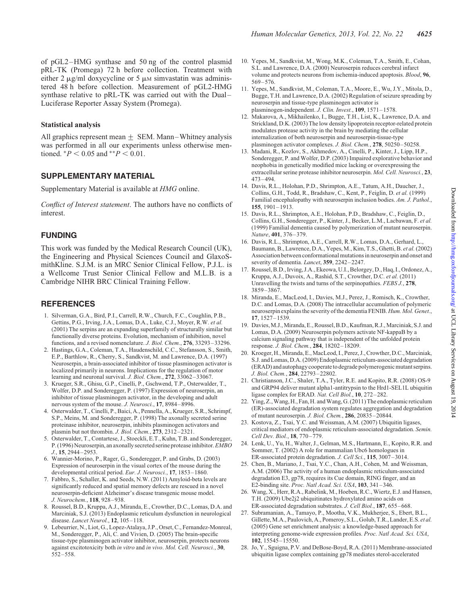<span id="page-9-0"></span>of pGL2–HMG synthase and 50 ng of the control plasmid pRL-TK (Promega) 72 h before collection. Treatment with either 2  $\mu$ g/ml doxycycline or 5  $\mu$ M simvastatin was administered 48 h before collection. Measurement of pGL2-HMG synthase relative to pRL-TK was carried out with the Dual– Luciferase Reporter Assay System (Promega).

## Statistical analysis

All graphics represent mean  $\pm$  SEM. Mann–Whitney analysis was performed in all our experiments unless otherwise mentioned.  $*P < 0.05$  and  $*P < 0.01$ .

# SUPPLEMENTARY MATERIAL

[Supplementary Material is available at](http://hmg.oxfordjournals.org/lookup/suppl/doi:10.1093/hmg/ddt310/-/DC1) HMG online.

Conflict of Interest statement. The authors have no conflicts of interest.

## FUNDING

This work was funded by the Medical Research Council (UK), the Engineering and Physical Sciences Council and GlaxoSmithKline. S.J.M. is an MRC Senior Clinical Fellow, P.J.L. is a Wellcome Trust Senior Clinical Fellow and M.L.B. is a Cambridge NIHR BRC Clinical Training Fellow.

## **REFERENCES**

- 1. Silverman, G.A., Bird, P.I., Carrell, R.W., Church, F.C., Coughlin, P.B., Gettins, P.G., Irving, J.A., Lomas, D.A., Luke, C.J., Moyer, R.W. et al. (2001) The serpins are an expanding superfamily of structurally similar but functionally diverse proteins. Evolution, mechanism of inhibition, novel functions, and a revised nomenclature. J. Biol. Chem., 276, 33293–33296.
- 2. Hastings, G.A., Coleman, T.A., Haudenschild, C.C., Stefansson, S., Smith, E.P., Barthlow, R., Cherry, S., Sandkvist, M. and Lawrence, D.A. (1997) Neuroserpin, a brain-associated inhibitor of tissue plasminogen activator is localized primarily in neurons. Implications for the regulation of motor learning and neuronal survival. J. Biol. Chem., 272, 33062-33067.
- 3. Krueger, S.R., Ghisu, G.P., Cinelli, P., Gschwend, T.P., Osterwalder, T., Wolfer, D.P. and Sonderegger, P. (1997) Expression of neuroserpin, an inhibitor of tissue plasminogen activator, in the developing and adult nervous system of the mouse. J. Neurosci., 17, 8984–8996.
- 4. Osterwalder, T., Cinelli, P., Baici, A., Pennella, A., Krueger, S.R., Schrimpf, S.P., Meins, M. and Sonderegger, P. (1998) The axonally secreted serine proteinase inhibitor, neuroserpin, inhibits plasminogen activators and plasmin but not thrombin. J. Biol. Chem., 273, 2312–2321.
- 5. Osterwalder, T., Contartese, J., Stoeckli, E.T., Kuhn, T.B. and Sonderegger, P. (1996) Neuroserpin, an axonally secreted serine protease inhibitor. EMBO J., 15, 2944–2953.
- 6. Wannier-Morino, P., Rager, G., Sonderegger, P. and Grabs, D. (2003) Expression of neuroserpin in the visual cortex of the mouse during the developmental critical period. Eur. J. Neurosci., 17, 1853–1860.
- 7. Fabbro, S., Schaller, K. and Seeds, N.W. (2011) Amyloid-beta levels are significantly reduced and spatial memory defects are rescued in a novel neuroserpin-deficient Alzheimer's disease transgenic mouse model. J. Neurochem., 118, 928–938.
- 8. Roussel, B.D., Kruppa, A.J., Miranda, E., Crowther, D.C., Lomas, D.A. and Marciniak, S.J. (2013) Endoplasmic reticulum dysfunction in neurological disease. Lancet Neurol., 12, 105–118.
- 9. Lebeurrier, N., Liot, G., Lopez-Atalaya, J.P., Orset, C., Fernandez-Monreal, M., Sonderegger, P., Ali, C. and Vivien, D. (2005) The brain-specific tissue-type plasminogen activator inhibitor, neuroserpin, protects neurons against excitotoxicity both in vitro and in vivo. Mol. Cell. Neurosci., 30, 552–558.
- 10. Yepes, M., Sandkvist, M., Wong, M.K., Coleman, T.A., Smith, E., Cohan, S.L. and Lawrence, D.A. (2000) Neuroserpin reduces cerebral infarct volume and protects neurons from ischemia-induced apoptosis. Blood, 96, 569–576.
- 11. Yepes, M., Sandkvist, M., Coleman, T.A., Moore, E., Wu, J.Y., Mitola, D., Bugge, T.H. and Lawrence, D.A. (2002) Regulation of seizure spreading by neuroserpin and tissue-type plasminogen activator is plasminogen-independent. J. Clin. Invest., 109, 1571–1578.
- 12. Makarova, A., Mikhailenko, I., Bugge, T.H., List, K., Lawrence, D.A. and Strickland, D.K. (2003) The low density lipoprotein receptor-related protein modulates protease activity in the brain by mediating the cellular internalization of both neuroserpin and neuroserpin-tissue-type plasminogen activator complexes. J. Biol. Chem., 278, 50250–50258.
- 13. Madani, R., Kozlov, S., Akhmedov, A., Cinelli, P., Kinter, J., Lipp, H.P., Sonderegger, P. and Wolfer, D.P. (2003) Impaired explorative behavior and neophobia in genetically modified mice lacking or overexpressing the extracellular serine protease inhibitor neuroserpin. Mol. Cell. Neurosci., 23, 473–494.
- 14. Davis, R.L., Holohan, P.D., Shrimpton, A.E., Tatum, A.H., Daucher, J., Collins, G.H., Todd, R., Bradshaw, C., Kent, P., Feiglin, D. et al. (1999) Familial encephalopathy with neuroserpin inclusion bodies. Am. J. Pathol., 155, 1901–1913.
- 15. Davis, R.L., Shrimpton, A.E., Holohan, P.D., Bradshaw, C., Feiglin, D., Collins, G.H., Sonderegger, P., Kinter, J., Becker, L.M., Lacbawan, F. et al. (1999) Familial dementia caused by polymerization of mutant neuroserpin. Nature, 401, 376–379.
- 16. Davis, R.L., Shrimpton, A.E., Carrell, R.W., Lomas, D.A., Gerhard, L., Baumann, B., Lawrence, D.A., Yepes, M., Kim, T.S., Ghetti, B. et al.(2002) Association between conformational mutations in neuroserpin and onset and severity of dementia. Lancet, 359, 2242-2247.
- 17. Roussel, B.D., Irving, J.A., Ekeowa, U.I., Belorgey, D., Haq, I., Ordonez, A., Kruppa, A.J., Duvoix, A., Rashid, S.T., Crowther, D.C. et al. (2011) Unravelling the twists and turns of the serpinopathies. FEBS J., 278, 3859–3867.
- 18. Miranda, E., MacLeod, I., Davies, M.J., Perez, J., Romisch, K., Crowther, D.C. and Lomas, D.A. (2008) The intracellular accumulation of polymeric neuroserpin explains the severity of the dementia FENIB. Hum. Mol. Genet., 17, 1527–1539.
- 19. Davies, M.J., Miranda, E., Roussel, B.D., Kaufman, R.J., Marciniak, S.J. and Lomas, D.A. (2009) Neuroserpin polymers activate NF-kappaB by a calcium signaling pathway that is independent of the unfolded protein response. J. Biol. Chem., 284, 18202–18209.
- 20. Kroeger, H., Miranda, E., MacLeod, I., Perez, J., Crowther, D.C., Marciniak, S.J. and Lomas, D.A. (2009) Endoplasmic reticulum-associated degradation (ERAD) and autophagy cooperate to degrade polymerogenic mutantserpins. J. Biol. Chem., 284, 22793–22802.
- 21. Christianson, J.C., Shaler, T.A., Tyler, R.E. and Kopito, R.R. (2008) OS-9 and GRP94 deliver mutant alpha1-antitrypsin to the Hrd1-SEL1L ubiquitin ligase complex for ERAD. Nat. Cell Biol., 10, 272–282.
- 22. Ying, Z., Wang, H., Fan, H. and Wang, G. (2011) The endoplasmic reticulum (ER)-associated degradation system regulates aggregation and degradation of mutant neuroserpin. J. Biol. Chem., 286, 20835–20844.
- 23. Kostova, Z., Tsai, Y.C. and Weissman, A.M. (2007) Ubiquitin ligases, critical mediators of endoplasmic reticulum-associated degradation. Semin. Cell Dev. Biol., 18, 770–779.
- 24. Lenk, U., Yu, H., Walter, J., Gelman, M.S., Hartmann, E., Kopito, R.R. and Sommer, T. (2002) A role for mammalian Ubc6 homologues in ER-associated protein degradation. J. Cell Sci., 115, 3007-3014.
- 25. Chen, B., Mariano, J., Tsai, Y.C., Chan, A.H., Cohen, M. and Weissman, A.M. (2006) The activity of a human endoplasmic reticulum-associated degradation E3, gp78, requires its Cue domain, RING finger, and an E2-binding site. Proc. Natl Acad. Sci. USA, 103, 341–346.
- 26. Wang, X., Herr, R.A., Rabelink, M., Hoeben, R.C., Wiertz, E.J. and Hansen, T.H. (2009) Ube2j2 ubiquitinates hydroxylated amino acids on ER-associated degradation substrates. J. Cell Biol., 187, 655–668.
- 27. Subramanian, A., Tamayo, P., Mootha, V.K., Mukherjee, S., Ebert, B.L., Gillette, M.A., Paulovich, A., Pomeroy, S.L., Golub, T.R., Lander, E.S. et al. (2005) Gene set enrichment analysis: a knowledge-based approach for interpreting genome-wide expression profiles. Proc. Natl Acad. Sci. USA, 102, 15545–15550.
- 28. Jo, Y., Sguigna, P.V. and DeBose-Boyd, R.A. (2011) Membrane-associated ubiquitin ligase complex containing gp78 mediates sterol-accelerated